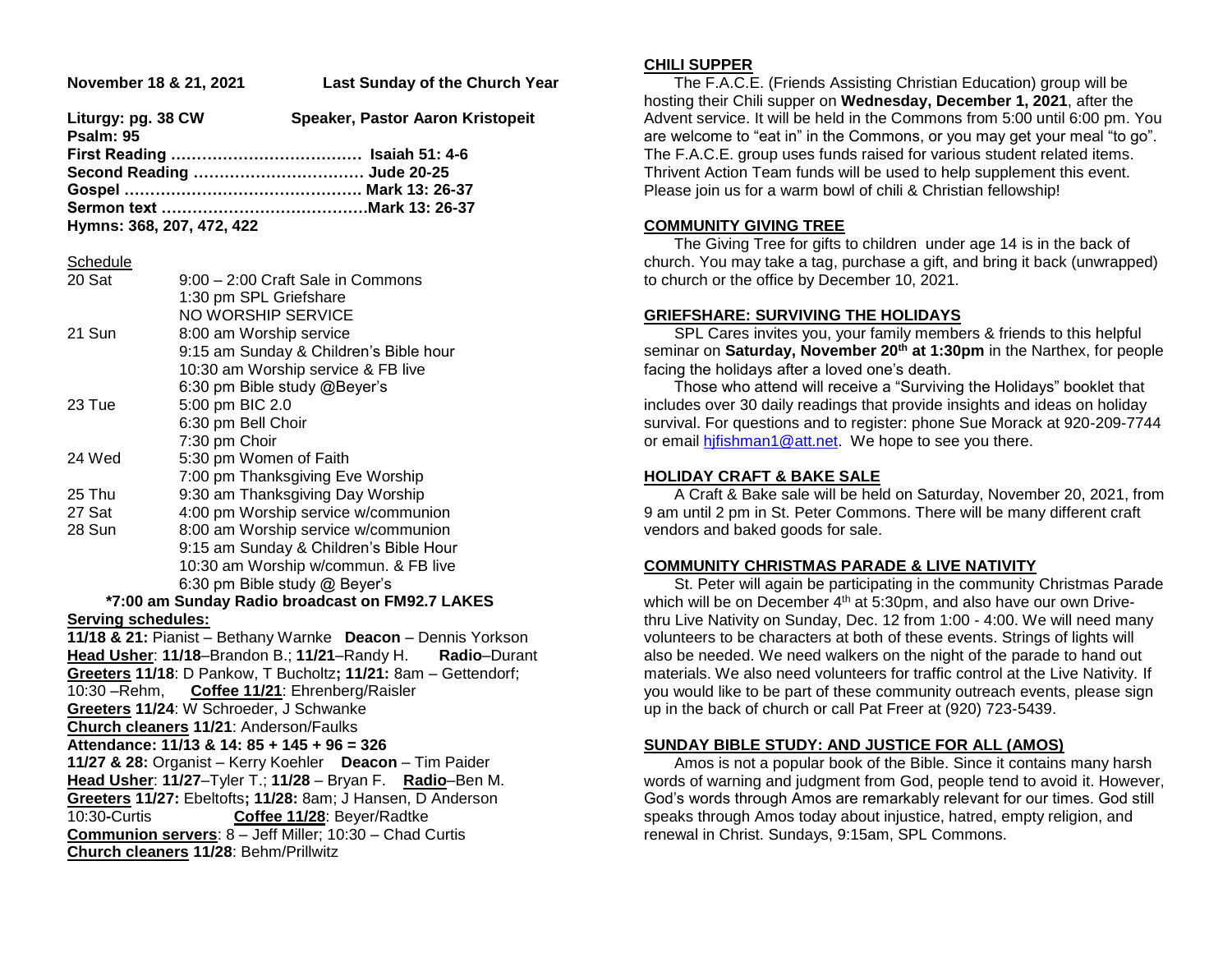| November 18 & 21, 2021                                         | Last Sunday of the Church Year                                                                                    |
|----------------------------------------------------------------|-------------------------------------------------------------------------------------------------------------------|
| Liturgy: pg. 38 CW<br>Psalm: 95                                | Speaker, Pastor Aaron Kristopeit                                                                                  |
| Second Reading  Jude 20-25<br>Hymns: 368, 207, 472, 422        |                                                                                                                   |
| <b>Schedule</b><br>20 Sat                                      | 9:00 - 2:00 Craft Sale in Commons                                                                                 |
| 21 Sun                                                         | 1:30 pm SPL Griefshare<br>NO WORSHIP SERVICE<br>8:00 am Worship service<br>9:15 am Sunday & Children's Bible hour |
| 23 Tue                                                         | 10:30 am Worship service & FB live<br>6:30 pm Bible study @Beyer's<br>5:00 pm BIC 2.0<br>6:30 pm Bell Choir       |
| 24 Wed                                                         | 7:30 pm Choir<br>5:30 pm Women of Faith<br>7:00 pm Thanksgiving Eve Worship                                       |
| 25 Thu                                                         | 9:30 am Thanksgiving Day Worship                                                                                  |
| 27 Sat                                                         | 4:00 pm Worship service w/communion                                                                               |
| 28 Sun                                                         | 8:00 am Worship service w/communion                                                                               |
|                                                                | 9:15 am Sunday & Children's Bible Hour                                                                            |
|                                                                | 10:30 am Worship w/commun. & FB live<br>6:30 pm Bible study @ Beyer's                                             |
| *7:00 am Sunday Radio broadcast on FM92.7 LAKES                |                                                                                                                   |
| <b>Serving schedules:</b>                                      |                                                                                                                   |
| 11/18 & 21: Pianist - Bethany Warnke Deacon - Dennis Yorkson   |                                                                                                                   |
| Head Usher: 11/18-Brandon B.; 11/21-Randy H. Radio-Durant      |                                                                                                                   |
| Greeters 11/18: D Pankow, T Bucholtz; 11/21: 8am - Gettendorf; |                                                                                                                   |
| Coffee 11/21: Ehrenberg/Raisler<br>10:30 - Rehm,               |                                                                                                                   |
| Greeters 11/24: W Schroeder, J Schwanke                        |                                                                                                                   |
|                                                                | Church cleaners 11/21: Anderson/Faulks                                                                            |

**Attendance: 11/13 & 14: 85 + 145 + 96 = 326**

**11/27 & 28:** Organist – Kerry Koehler **Deacon** – Tim Paider **Head Usher**: **11/27**–Tyler T.; **11/28** – Bryan F. **Radio**–Ben M. **Greeters 11/27:** Ebeltofts**; 11/28:** 8am; J Hansen, D Anderson 10:30**-**Curtis **Coffee 11/28**: Beyer/Radtke **Communion servers**: 8 – Jeff Miller; 10:30 – Chad Curtis **Church cleaners 11/28**: Behm/Prillwitz

#### **CHILI SUPPER**

 The F.A.C.E. (Friends Assisting Christian Education) group will be hosting their Chili supper on **Wednesday, December 1, 2021**, after the Advent service. It will be held in the Commons from 5:00 until 6:00 pm. You are welcome to "eat in" in the Commons, or you may get your meal "to go". The F.A.C.E. group uses funds raised for various student related items. Thrivent Action Team funds will be used to help supplement this event. Please join us for a warm bowl of chili & Christian fellowship!

#### **COMMUNITY GIVING TREE**

 The Giving Tree for gifts to children under age 14 is in the back of church. You may take a tag, purchase a gift, and bring it back (unwrapped) to church or the office by December 10, 2021.

#### **GRIEFSHARE: SURVIVING THE HOLIDAYS**

 SPL Cares invites you, your family members & friends to this helpful seminar on **Saturday, November 20th at 1:30pm** in the Narthex, for people facing the holidays after a loved one's death.

 Those who attend will receive a "Surviving the Holidays" booklet that includes over 30 daily readings that provide insights and ideas on holiday survival. For questions and to register: phone Sue Morack at 920-209-7744 or email [hjfishman1@att.net.](mailto:hjfishman1@att.net) We hope to see you there.

### **HOLIDAY CRAFT & BAKE SALE**

 A Craft & Bake sale will be held on Saturday, November 20, 2021, from 9 am until 2 pm in St. Peter Commons. There will be many different craft vendors and baked goods for sale.

#### **COMMUNITY CHRISTMAS PARADE & LIVE NATIVITY**

 St. Peter will again be participating in the community Christmas Parade which will be on December 4<sup>th</sup> at 5:30pm, and also have our own Drivethru Live Nativity on Sunday, Dec. 12 from 1:00 - 4:00. We will need many volunteers to be characters at both of these events. Strings of lights will also be needed. We need walkers on the night of the parade to hand out materials. We also need volunteers for traffic control at the Live Nativity. If you would like to be part of these community outreach events, please sign up in the back of church or call Pat Freer at (920) 723-5439.

# **SUNDAY BIBLE STUDY: AND JUSTICE FOR ALL (AMOS)**

 Amos is not a popular book of the Bible. Since it contains many harsh words of warning and judgment from God, people tend to avoid it. However, God's words through Amos are remarkably relevant for our times. God still speaks through Amos today about injustice, hatred, empty religion, and renewal in Christ. Sundays, 9:15am, SPL Commons.